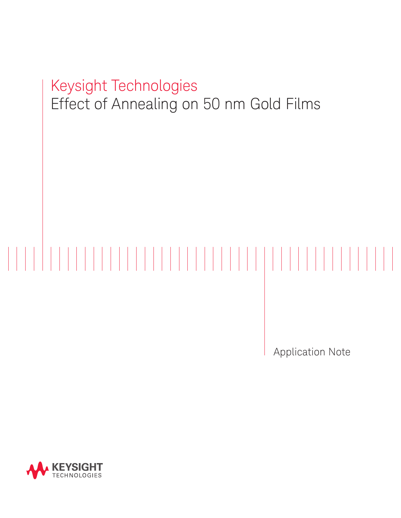# Keysight Technologies Effect of Annealing on 50 nm Gold Films

Application Note

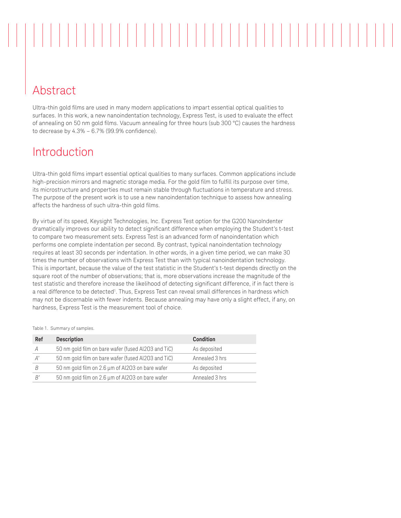## Abstract

Ultra-thin gold films are used in many modern applications to impart essential optical qualities to surfaces. In this work, a new nanoindentation technology, Express Test, is used to evaluate the effect of annealing on 50 nm gold films. Vacuum annealing for three hours (sub 300 °C) causes the hardness to decrease by 4.3% – 6.7% (99.9% confidence).

### Introduction

Ultra-thin gold films impart essential optical qualities to many surfaces. Common applications include high-precision mirrors and magnetic storage media. For the gold film to fulfill its purpose over time, its microstructure and properties must remain stable through fluctuations in temperature and stress. The purpose of the present work is to use a new nanoindentation technique to assess how annealing affects the hardness of such ultra-thin gold films.

By virtue of its speed, Keysight Technologies, Inc. Express Test option for the G200 NanoIndenter dramatically improves our ability to detect significant difference when employing the Student's t-test to compare two measurement sets. Express Test is an advanced form of nanoindentation which performs one complete indentation per second. By contrast, typical nanoindentation technology requires at least 30 seconds per indentation. In other words, in a given time period, we can make 30 times the number of observations with Express Test than with typical nanoindentation technology. This is important, because the value of the test statistic in the Student's t-test depends directly on the square root of the number of observations; that is, more observations increase the magnitude of the test statistic and therefore increase the likelihood of detecting significant difference, if in fact there is a real difference to be detected<sup>1</sup>. Thus, Express Test can reveal small differences in hardness which may not be discernable with fewer indents. Because annealing may have only a slight effect, if any, on hardness, Express Test is the measurement tool of choice.

Table 1. Summary of samples.

| Ref | <b>Description</b>                                  | <b>Condition</b> |
|-----|-----------------------------------------------------|------------------|
| A   | 50 nm gold film on bare wafer (fused Al2O3 and TiC) | As deposited     |
| A'  | 50 nm gold film on bare wafer (fused Al2O3 and TiC) | Annealed 3 hrs   |
|     | 50 nm gold film on 2.6 µm of Al2O3 on bare wafer    | As deposited     |
| R'  | 50 nm gold film on 2.6 µm of Al2O3 on bare wafer    | Annealed 3 hrs   |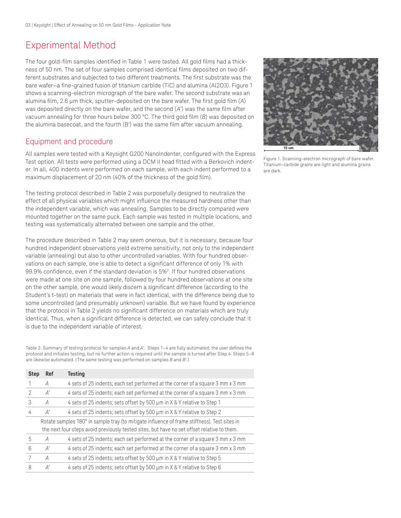### Experimental Method

The four gold-film samples identified in Table 1 were tested. All gold films had a thickness of 50 nm. The set of four samples comprised identical films deposited on two different substrates and subjected to two different treatments. The first substrate was the bare wafer—a fine-grained fusion of titanium carbide (TiC) and alumina (Al2O3). Figure 1 shows a scanning-electron micrograph of the bare wafer. The second substrate was an alumina film, 2.6 μm thick, sputter-deposited on the bare wafer. The first gold film (*A*) was deposited directly on the bare wafer, and the second (*A'*) was the same film after vacuum annealing for three hours below 300 °C. The third gold film (*B*) was deposited on the alumina basecoat, and the fourth (B') was the same film after vacuum annealing.

#### Equipment and procedure

All samples were tested with a Keysight G200 NanoIndenter, configured with the Express Test option. All tests were performed using a DCM II head fitted with a Berkovich indenter. In all, 400 indents were performed on each sample, with each indent performed to a maximum displacement of 20 nm (40% of the thickness of the gold film).

The testing protocol described in Table 2 was purposefully designed to neutralize the effect of all physical variables which might influence the measured hardness other than the independent variable, which was annealing. Samples to be directly compared were mounted together on the same puck. Each sample was tested in multiple locations, and testing was systematically alternated between one sample and the other.

The procedure described in Table 2 may seem onerous, but it is necessary, because four hundred independent observations yield extreme sensitivity, not only to the independent variable (annealing) but also to other uncontrolled variables. With four hundred observations on each sample, one is able to detect a significant difference of only 1% with 99.9% confidence, even if the standard deviation is 5%2 . If four hundred observations were made at one site on one sample, followed by four hundred observations at one site on the other sample, one would likely discern a significant difference (according to the Student's t-test) on materials that were in fact identical, with the difference being due to some uncontrolled (and presumably unknown) variable. But we have found by experience that the protocol in Table 2 yields no significant difference on materials which are truly identical. Thus, when a significant difference is detected, we can safely conclude that it is due to the independent variable of interest.

Table 2. Summary of testing protocol for samples *A* and *A'*. Steps 1–4 are fully automated; the user defines the protocol and initiates testing, but no further action is required until the sample is turned after Step 4. Steps 5–8 are likewise automated. (The same testing was performed on samples *B* and *B'*.)

| Ref                                                                                                                                                                                         | <b>Testing</b>                                                                 |  |  |  |
|---------------------------------------------------------------------------------------------------------------------------------------------------------------------------------------------|--------------------------------------------------------------------------------|--|--|--|
| A                                                                                                                                                                                           | 4 sets of 25 indents; each set performed at the corner of a square 3 mm x 3 mm |  |  |  |
| $A^{\prime}$                                                                                                                                                                                | 4 sets of 25 indents; each set performed at the corner of a square 3 mm x 3 mm |  |  |  |
| A                                                                                                                                                                                           | 4 sets of 25 indents; sets offset by 500 µm in X & Y relative to Step 1        |  |  |  |
| $A^{\prime}$                                                                                                                                                                                | 4 sets of 25 indents; sets offset by 500 µm in X & Y relative to Step 2        |  |  |  |
| Rotate samples 180° in sample tray (to mitigate influence of frame stiffness). Test sites in<br>the next four steps avoid previously tested sites, but have no set offset relative to them. |                                                                                |  |  |  |
| A                                                                                                                                                                                           | 4 sets of 25 indents; each set performed at the corner of a square 3 mm x 3 mm |  |  |  |
| $A^{\prime}$                                                                                                                                                                                | 4 sets of 25 indents; each set performed at the corner of a square 3 mm x 3 mm |  |  |  |
| A                                                                                                                                                                                           | 4 sets of 25 indents; sets offset by 500 µm in X & Y relative to Step 5        |  |  |  |
| A'                                                                                                                                                                                          | 4 sets of 25 indents; sets offset by 500 µm in X & Y relative to Step 6        |  |  |  |
|                                                                                                                                                                                             | <b>Step</b>                                                                    |  |  |  |



Figure 1. Scanning-electron micrograph of bare wafer. Titanium-carbide grains are light and alumina grains are dark.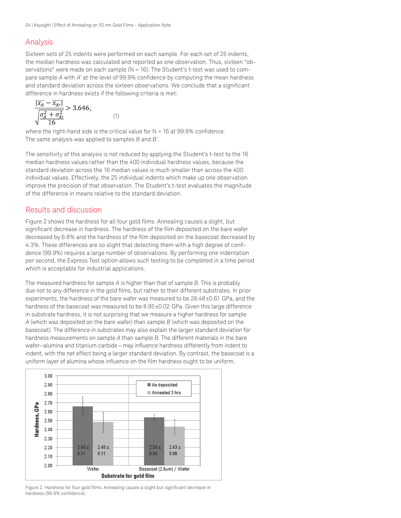#### Analysis

Sixteen sets of 25 indents were performed on each sample. For each set of 25 indents, the median hardness was calculated and reported as one observation. Thus, sixteen "observations" were made on each sample (N = 16). The Student's t-test was used to compare sample *A* with *A'* at the level of 99.9% confidence by computing the mean hardness and standard deviation across the sixteen observations. We conclude that a significant difference in hardness exists if the following criteria is met:

$$
\frac{|x_A - x_{A\prime}|}{\sqrt{\frac{\sigma_A^2 + \sigma_{A\prime}^2}{16}}} > 3.646,
$$
\n(1)

where the right-hand side is the critical value for  $N = 16$  at 99.9% confidence. The same analysis was applied to samples *B* and *B'*.

The sensitivity of this analysis is not reduced by applying the Student's t-test to the 16 median hardness values rather than the 400 individual hardness values, because the standard deviation across the 16 median values is much smaller than across the 400 individual values. Effectively, the 25 individual indents which make up one observation improve the precision of that observation. The Student's t-test evaluates the magnitude of the difference in means relative to the standard deviation.

#### Results and discussion

Figure 2 shows the hardness for all four gold films. Annealing causes a slight, but significant decrease in hardness. The hardness of the film deposited on the bare wafer decreased by 6.8% and the hardness of the film deposited on the basecoat decreased by 4.3%. These differences are so slight that detecting them with a high degree of confidence (99.9%) requires a large number of observations. By performing one indentation per second, the Express Test option allows such testing to be completed in a time period which is acceptable for industrial applications.

The measured hardness for sample *A* is higher than that of sample *B*. This is probably due not to any difference in the gold films, but rather to their different substrates. In prior experiments, the hardness of the bare wafer was measured to be 28.48±0.61 GPa, and the hardness of the basecoat was measured to be 8.95±0.02 GPa. Given this large difference in substrate hardness, it is not surprising that we measure a higher hardness for sample *A* (which was deposited on the bare wafer) than sample *B* (which was deposited on the basecoat). The difference in substrates may also explain the larger standard deviation for hardness measurements on sample *A* than sample *B*. The different materials in the bare wafer—alumina and titanium carbide—may influence hardness differently from indent to indent, with the net effect being a larger standard deviation. By contrast, the basecoat is a uniform layer of alumina whose influence on the film hardness ought to be uniform.



Figure 2. Hardness for four gold films. Annealing causes a slight but significant decrease in hardness (99.9% confidence).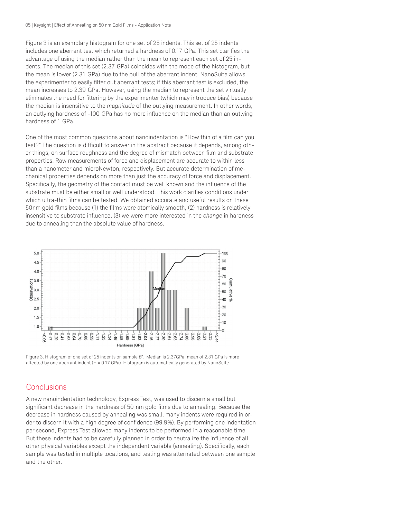Figure 3 is an exemplary histogram for one set of 25 indents. This set of 25 indents includes one aberrant test which returned a hardness of 0.17 GPa. This set clarifies the advantage of using the median rather than the mean to represent each set of 25 indents. The median of this set (2.37 GPa) coincides with the mode of the histogram, but the mean is lower (2.31 GPa) due to the pull of the aberrant indent. NanoSuite allows the experimenter to easily filter out aberrant tests; if this aberrant test is excluded, the mean increases to 2.39 GPa. However, using the median to represent the set virtually eliminates the need for filtering by the experimenter (which may introduce bias) because the median is insensitive to the *magnitude* of the outlying measurement. In other words, an outlying hardness of -100 GPa has no more influence on the median than an outlying hardness of 1 GPa.

One of the most common questions about nanoindentation is "How thin of a film can you test?" The question is difficult to answer in the abstract because it depends, among other things, on surface roughness and the degree of mismatch between film and substrate properties. Raw measurements of force and displacement are accurate to within less than a nanometer and microNewton, respectively. But accurate determination of mechanical properties depends on more than just the accuracy of force and displacement. Specifically, the geometry of the contact must be well known and the influence of the substrate must be either small or well understood. This work clarifies conditions under which ultra-thin films can be tested. We obtained accurate and useful results on these 50nm gold films because (1) the films were atomically smooth, (2) hardness is relatively insensitive to substrate influence, (3) we were more interested in the *change* in hardness due to annealing than the absolute value of hardness.



Figure 3. Histogram of one set of 25 indents on sample *B'.* Median is 2.37GPa; mean of 2.31 GPa is more affected by one aberrant indent  $(H = 0.17 \text{ GPa})$ . Histogram is automatically generated by NanoSuite.

#### **Conclusions**

A new nanoindentation technology, Express Test, was used to discern a small but significant decrease in the hardness of 50 nm gold films due to annealing. Because the decrease in hardness caused by annealing was small, many indents were required in order to discern it with a high degree of confidence (99.9%). By performing one indentation per second, Express Test allowed many indents to be performed in a reasonable time. But these indents had to be carefully planned in order to neutralize the influence of all other physical variables except the independent variable (annealing). Specifically, each sample was tested in multiple locations, and testing was alternated between one sample and the other.